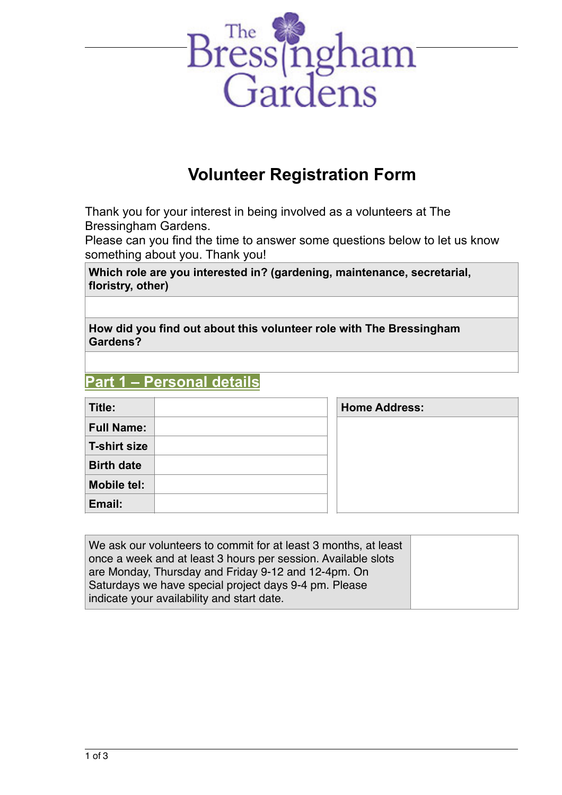

# **Volunteer Registration Form**

Thank you for your interest in being involved as a volunteers at The Bressingham Gardens.

Please can you find the time to answer some questions below to let us know something about you. Thank you!

**Which role are you interested in? (gardening, maintenance, secretarial, floristry, other)**

**How did you find out about this volunteer role with The Bressingham Gardens?** 

# **Part 1 – Personal details**

| Title:            | <b>Home Address:</b> |
|-------------------|----------------------|
| <b>Full Name:</b> |                      |
| T-shirt size      |                      |
| <b>Birth date</b> |                      |
| Mobile tel:       |                      |
| Email:            |                      |

| We ask our volunteers to commit for at least 3 months, at least<br>once a week and at least 3 hours per session. Available slots<br>are Monday, Thursday and Friday 9-12 and 12-4pm. On<br>Saturdays we have special project days 9-4 pm. Please |  |
|--------------------------------------------------------------------------------------------------------------------------------------------------------------------------------------------------------------------------------------------------|--|
| indicate your availability and start date.                                                                                                                                                                                                       |  |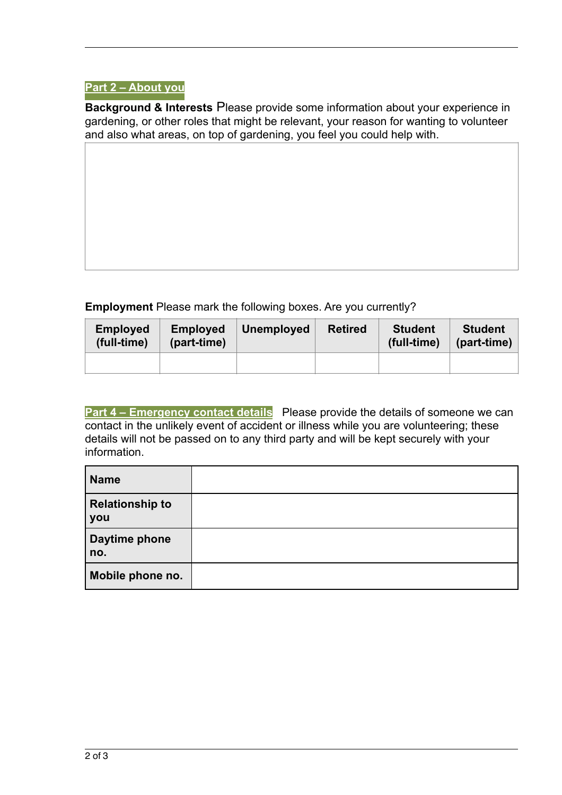## **Part 2 – About you**

**Background & Interests** Please provide some information about your experience in gardening, or other roles that might be relevant, your reason for wanting to volunteer and also what areas, on top of gardening, you feel you could help with.

**Employment** Please mark the following boxes. Are you currently?

| <b>Employed</b><br>(full-time) | <b>Employed</b><br>(part-time) | <b>Unemployed</b> | <b>Retired</b> | <b>Student</b><br>(full-time) | <b>Student</b><br>(part-time) |
|--------------------------------|--------------------------------|-------------------|----------------|-------------------------------|-------------------------------|
|                                |                                |                   |                |                               |                               |

**Part 4 – Emergency contact details** Please provide the details of someone we can contact in the unlikely event of accident or illness while you are volunteering; these details will not be passed on to any third party and will be kept securely with your information.

| Name                                 |  |
|--------------------------------------|--|
| <b>Relationship to</b><br><b>you</b> |  |
| Daytime phone<br>no.                 |  |
| Mobile phone no.                     |  |